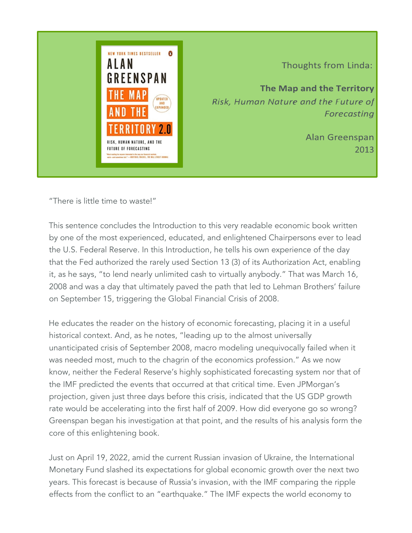

Thoughts from Linda:

The Map and the Territory Risk, Human Nature and the Future of Forecasting

> **Alan Greenspan** 2013

"There is little time to waste!"

This sentence concludes the Introduction to this very readable economic book written by one of the most experienced, educated, and enlightened Chairpersons ever to lead the U.S. Federal Reserve. In this Introduction, he tells his own experience of the day that the Fed authorized the rarely used Section 13 (3) of its Authorization Act, enabling it, as he says, "to lend nearly unlimited cash to virtually anybody." That was March 16, 2008 and was a day that ultimately paved the path that led to Lehman Brothers' failure on September 15, triggering the Global Financial Crisis of 2008.

He educates the reader on the history of economic forecasting, placing it in a useful historical context. And, as he notes, "leading up to the almost universally unanticipated crisis of September 2008, macro modeling unequivocally failed when it was needed most, much to the chagrin of the economics profession." As we now know, neither the Federal Reserve's highly sophisticated forecasting system nor that of the IMF predicted the events that occurred at that critical time. Even JPMorgan's projection, given just three days before this crisis, indicated that the US GDP growth rate would be accelerating into the first half of 2009. How did everyone go so wrong? Greenspan began his investigation at that point, and the results of his analysis form the core of this enlightening book.

Just on April 19, 2022, amid the current Russian invasion of Ukraine, the International Monetary Fund slashed its expectations for global economic growth over the next two years. This forecast is because of Russia's invasion, with the IMF comparing the ripple effects from the conflict to an "earthquake." The IMF expects the world economy to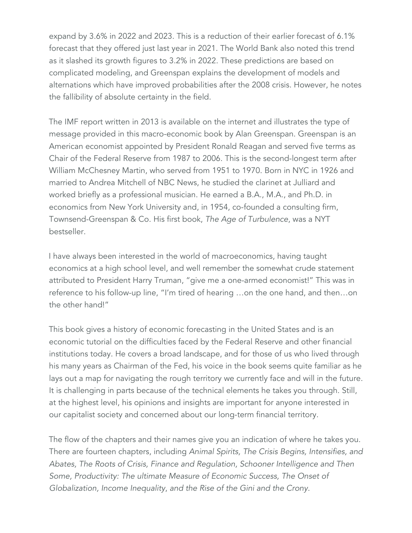expand by 3.6% in 2022 and 2023. This is a reduction of their earlier forecast of 6.1% forecast that they offered just last year in 2021. The World Bank also noted this trend as it slashed its growth figures to 3.2% in 2022. These predictions are based on complicated modeling, and Greenspan explains the development of models and alternations which have improved probabilities after the 2008 crisis. However, he notes the fallibility of absolute certainty in the field.

The IMF report written in 2013 is available on the internet and illustrates the type of message provided in this macro-economic book by Alan Greenspan. Greenspan is an American economist appointed by President Ronald Reagan and served five terms as Chair of the Federal Reserve from 1987 to 2006. This is the second-longest term after William McChesney Martin, who served from 1951 to 1970. Born in NYC in 1926 and married to Andrea Mitchell of NBC News, he studied the clarinet at Julliard and worked briefly as a professional musician. He earned a B.A., M.A., and Ph.D. in economics from New York University and, in 1954, co-founded a consulting firm, Townsend-Greenspan & Co. His first book, *The Age of Turbulence*, was a NYT bestseller.

I have always been interested in the world of macroeconomics, having taught economics at a high school level, and well remember the somewhat crude statement attributed to President Harry Truman, "give me a one-armed economist!" This was in reference to his follow-up line, "I'm tired of hearing …on the one hand, and then…on the other hand!"

This book gives a history of economic forecasting in the United States and is an economic tutorial on the difficulties faced by the Federal Reserve and other financial institutions today. He covers a broad landscape, and for those of us who lived through his many years as Chairman of the Fed, his voice in the book seems quite familiar as he lays out a map for navigating the rough territory we currently face and will in the future. It is challenging in parts because of the technical elements he takes you through. Still, at the highest level, his opinions and insights are important for anyone interested in our capitalist society and concerned about our long-term financial territory.

The flow of the chapters and their names give you an indication of where he takes you. There are fourteen chapters, including *Animal Spirits, The Crisis Begins, Intensifies, and Abates, The Roots of Crisis, Finance and Regulation, Schooner Intelligence and Then Some, Productivity: The ultimate Measure of Economic Success, The Onset of Globalization, Income Inequality*, *and the Rise of the Gini and the Crony*.